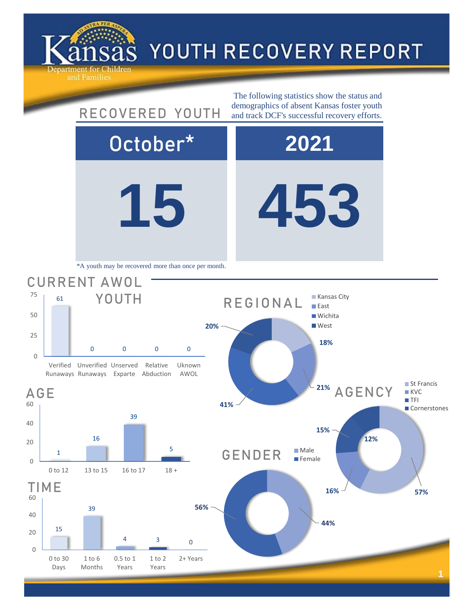

0

20

40

60

0

20

40

60

0

25

50

75

## YOUTH RECOVERY REPORT

**15 453** October\* **2021** 15 39  $4 \qquad \qquad 3 \qquad \qquad 0$ 0 to 30 Days 1 to 6 Months 0.5 to 1 Years 1 to 2 Years 2+ Years TIME **44% 56%** GENDER Male **Female 16% 57% 15% 12%** AGENCY ■ St Francis **KVC TFI Cornerstones** 1 16 39 5 0 to 12 13 to 15 16 to 17 18 + AGE 61 0 0 0 0 Verified Unverified Unserved Runaways Runaways Exparte Abduction Relative Uknown AWOL CURRENT AWOL YOUTH The following statistics show the status and RECOVERED YOUTH demographics of absent Kansas foster youth and track DCF's successful recovery efforts. \*A youth may be recovered more than once per month. **18% 21% 41% 20%** REGIONAL **Kansas City East Wichita West**